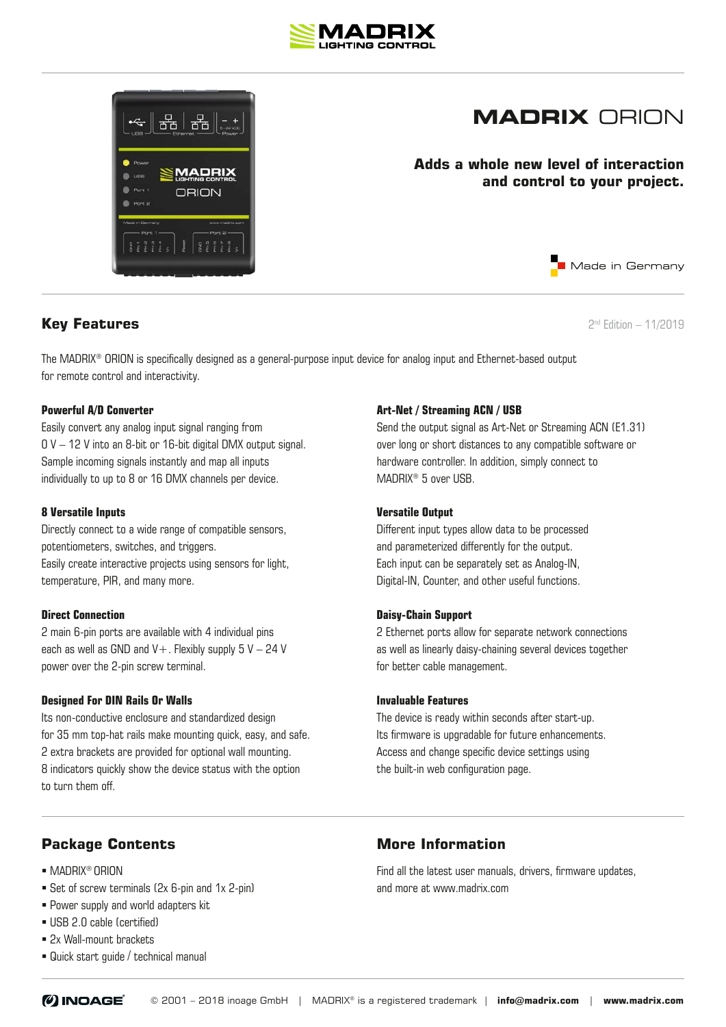



## **MADRIX** ORION

**Adds a whole new level of interaction and control to your project.**

**Key Features** 2nd Edition – 11/2019

Made in Germany

The MADRIX® ORION is specifically designed as a general-purpose input device for analog input and Ethernet-based output for remote control and interactivity.

#### **Powerful A/D Converter**

Easily convert any analog input signal ranging from 0 V – 12 V into an 8-bit or 16-bit digital DMX output signal. Sample incoming signals instantly and map all inputs individually to up to 8 or 16 DMX channels per device.

#### **8 Versatile Inputs**

Directly connect to a wide range of compatible sensors, potentiometers, switches, and triggers. Easily create interactive projects using sensors for light, temperature, PIR, and many more.

#### **Direct Connection**

2 main 6-pin ports are available with 4 individual pins each as well as GND and  $V+$ . Flexibly supply 5  $V-24$  V power over the 2-pin screw terminal.

#### **Designed For DIN Rails Or Walls**

Its non-conductive enclosure and standardized design for 35 mm top-hat rails make mounting quick, easy, and safe. 2 extra brackets are provided for optional wall mounting. 8 indicators quickly show the device status with the option to turn them off.

#### **Art-Net / Streaming ACN / USB**

Send the output signal as Art-Net or Streaming ACN (E1.31) over long or short distances to any compatible software or hardware controller. In addition, simply connect to MADRIX® 5 over USB.

#### **Versatile Output**

Different input types allow data to be processed and parameterized differently for the output. Each input can be separately set as Analog-IN, Digital-IN, Counter, and other useful functions.

#### **Daisy-Chain Support**

2 Ethernet ports allow for separate network connections as well as linearly daisy-chaining several devices together for better cable management.

#### **Invaluable Features**

The device is ready within seconds after start-up. Its firmware is upgradable for future enhancements. Access and change specific device settings using the built-in web configuration page.

#### **Package Contents**

- MADRIX<sup>®</sup> ORION
- Set of screw terminals (2x 6-pin and 1x 2-pin)
- **Power supply and world adapters kit**
- USB 2.0 cable (certified)
- 2x Wall-mount brackets
- Quick start guide / technical manual

### **More Information**

Find all the latest user manuals, drivers, firmware updates, and more at www.madrix.com